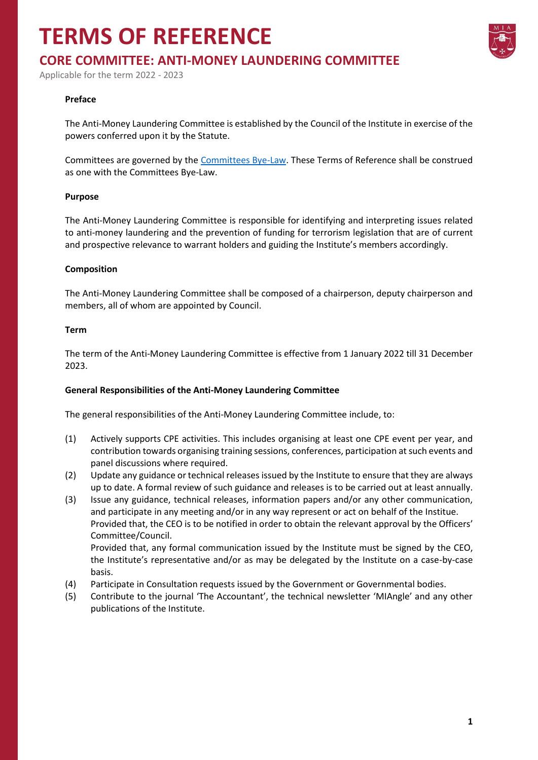## **TERMS OF REFERENCE**



## **CORE COMMITTEE: ANTI-MONEY LAUNDERING COMMITTEE**

Applicable for the term 2022 - 2023

#### **Preface**

The Anti-Money Laundering Committee is established by the Council of the Institute in exercise of the powers conferred upon it by the Statute.

Committees are governed by the [Committees Bye-Law.](https://www.miamalta.org/Statute-and-Bye-Laws) These Terms of Reference shall be construed as one with the Committees Bye-Law.

#### **Purpose**

The Anti-Money Laundering Committee is responsible for identifying and interpreting issues related to anti-money laundering and the prevention of funding for terrorism legislation that are of current and prospective relevance to warrant holders and guiding the Institute's members accordingly.

#### **Composition**

The Anti-Money Laundering Committee shall be composed of a chairperson, deputy chairperson and members, all of whom are appointed by Council.

#### **Term**

The term of the Anti-Money Laundering Committee is effective from 1 January 2022 till 31 December 2023.

#### **General Responsibilities of the Anti-Money Laundering Committee**

The general responsibilities of the Anti-Money Laundering Committee include, to:

- (1) Actively supports CPE activities. This includes organising at least one CPE event per year, and contribution towards organising training sessions, conferences, participation at such events and panel discussions where required.
- (2) Update any guidance or technical releases issued by the Institute to ensure that they are always up to date. A formal review of such guidance and releases is to be carried out at least annually.
- (3) Issue any guidance, technical releases, information papers and/or any other communication, and participate in any meeting and/or in any way represent or act on behalf of the Institue. Provided that, the CEO is to be notified in order to obtain the relevant approval by the Officers' Committee/Council. Provided that, any formal communication issued by the Institute must be signed by the CEO,
	- the Institute's representative and/or as may be delegated by the Institute on a case-by-case basis.
- (4) Participate in Consultation requests issued by the Government or Governmental bodies.
- (5) Contribute to the journal 'The Accountant', the technical newsletter 'MIAngle' and any other publications of the Institute.